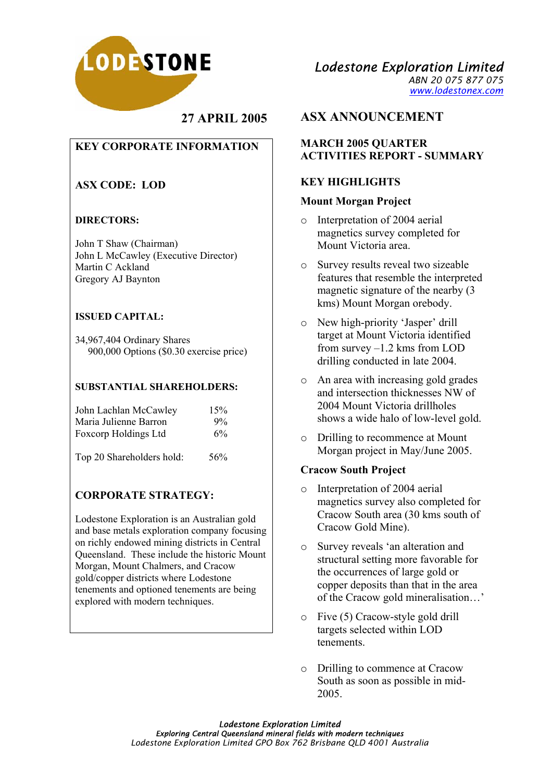

**27 APRIL 2005** 

# **KEY CORPORATE INFORMATION**

# **ASX CODE: LOD**

## **DIRECTORS:**

John T Shaw (Chairman) John L McCawley (Executive Director) Martin C Ackland Gregory AJ Baynton

### **ISSUED CAPITAL:**

34,967,404 Ordinary Shares 900,000 Options (\$0.30 exercise price)

### **SUBSTANTIAL SHAREHOLDERS:**

| John Lachlan McCawley | 15%   |
|-----------------------|-------|
| Maria Julienne Barron | $9\%$ |
| Foxcorp Holdings Ltd  | 6%    |
|                       |       |

Top 20 Shareholders hold: 56%

# **CORPORATE STRATEGY:**

Lodestone Exploration is an Australian gold and base metals exploration company focusing on richly endowed mining districts in Central Queensland. These include the historic Mount Morgan, Mount Chalmers, and Cracow gold/copper districts where Lodestone tenements and optioned tenements are being explored with modern techniques.

*Lodestone Exploration Limited ABN 20 075 877 075* 

*www.lodestonex.com*

# **ASX ANNOUNCEMENT**

### **MARCH 2005 QUARTER ACTIVITIES REPORT - SUMMARY**

## **KEY HIGHLIGHTS**

#### **Mount Morgan Project**

- o Interpretation of 2004 aerial magnetics survey completed for Mount Victoria area.
- o Survey results reveal two sizeable features that resemble the interpreted magnetic signature of the nearby (3 kms) Mount Morgan orebody.
- o New high-priority 'Jasper' drill target at Mount Victoria identified from survey –1.2 kms from LOD drilling conducted in late 2004.
- o An area with increasing gold grades and intersection thicknesses NW of 2004 Mount Victoria drillholes shows a wide halo of low-level gold.
- o Drilling to recommence at Mount Morgan project in May/June 2005.

### **Cracow South Project**

- o Interpretation of 2004 aerial magnetics survey also completed for Cracow South area (30 kms south of Cracow Gold Mine).
- o Survey reveals 'an alteration and structural setting more favorable for the occurrences of large gold or copper deposits than that in the area of the Cracow gold mineralisation…'
- o Five (5) Cracow-style gold drill targets selected within LOD tenements.
- o Drilling to commence at Cracow South as soon as possible in mid-2005.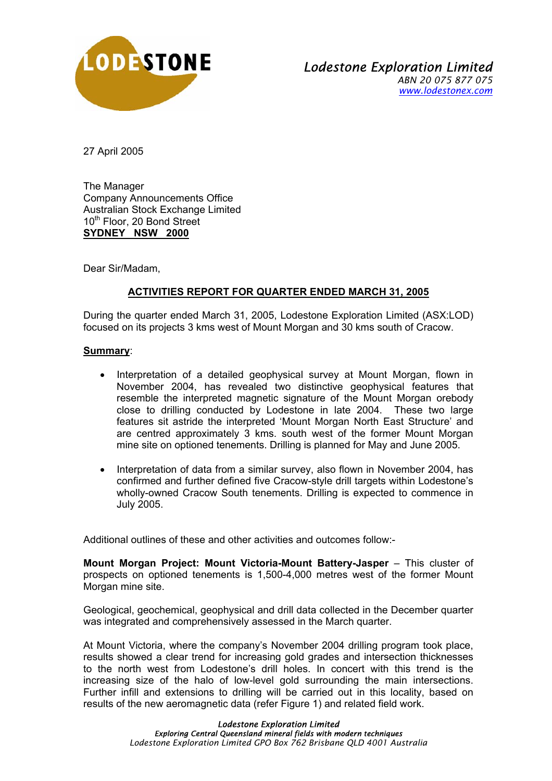

27 April 2005

The Manager Company Announcements Office Australian Stock Exchange Limited 10<sup>th</sup> Floor, 20 Bond Street **SYDNEY NSW 2000**

Dear Sir/Madam,

## **ACTIVITIES REPORT FOR QUARTER ENDED MARCH 31, 2005**

During the quarter ended March 31, 2005, Lodestone Exploration Limited (ASX:LOD) focused on its projects 3 kms west of Mount Morgan and 30 kms south of Cracow.

#### **Summary**:

- Interpretation of a detailed geophysical survey at Mount Morgan, flown in November 2004, has revealed two distinctive geophysical features that resemble the interpreted magnetic signature of the Mount Morgan orebody close to drilling conducted by Lodestone in late 2004. These two large features sit astride the interpreted 'Mount Morgan North East Structure' and are centred approximately 3 kms. south west of the former Mount Morgan mine site on optioned tenements. Drilling is planned for May and June 2005.
- Interpretation of data from a similar survey, also flown in November 2004, has confirmed and further defined five Cracow-style drill targets within Lodestone's wholly-owned Cracow South tenements. Drilling is expected to commence in July 2005.

Additional outlines of these and other activities and outcomes follow:-

**Mount Morgan Project: Mount Victoria-Mount Battery-Jasper** – This cluster of prospects on optioned tenements is 1,500-4,000 metres west of the former Mount Morgan mine site.

Geological, geochemical, geophysical and drill data collected in the December quarter was integrated and comprehensively assessed in the March quarter.

At Mount Victoria, where the company's November 2004 drilling program took place, results showed a clear trend for increasing gold grades and intersection thicknesses to the north west from Lodestone's drill holes. In concert with this trend is the increasing size of the halo of low-level gold surrounding the main intersections. Further infill and extensions to drilling will be carried out in this locality, based on results of the new aeromagnetic data (refer Figure 1) and related field work.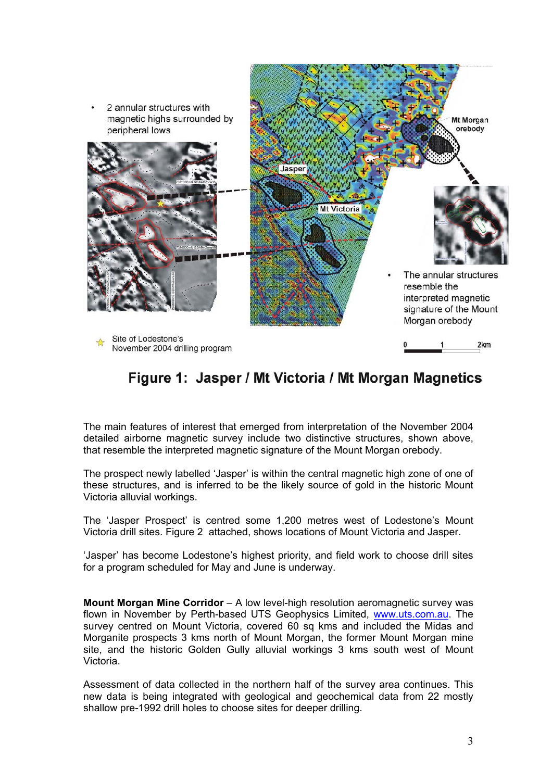

# Figure 1: Jasper / Mt Victoria / Mt Morgan Magnetics

The main features of interest that emerged from interpretation of the November 2004 detailed airborne magnetic survey include two distinctive structures, shown above, that resemble the interpreted magnetic signature of the Mount Morgan orebody.

The prospect newly labelled 'Jasper' is within the central magnetic high zone of one of these structures, and is inferred to be the likely source of gold in the historic Mount Victoria alluvial workings.

The 'Jasper Prospect' is centred some 1,200 metres west of Lodestone's Mount Victoria drill sites. Figure 2 attached, shows locations of Mount Victoria and Jasper.

'Jasper' has become Lodestone's highest priority, and field work to choose drill sites for a program scheduled for May and June is underway.

**Mount Morgan Mine Corridor** – A low level-high resolution aeromagnetic survey was flown in November by Perth-based UTS Geophysics Limited, www.uts.com.au. The survey centred on Mount Victoria, covered 60 sq kms and included the Midas and Morganite prospects 3 kms north of Mount Morgan, the former Mount Morgan mine site, and the historic Golden Gully alluvial workings 3 kms south west of Mount Victoria.

Assessment of data collected in the northern half of the survey area continues. This new data is being integrated with geological and geochemical data from 22 mostly shallow pre-1992 drill holes to choose sites for deeper drilling.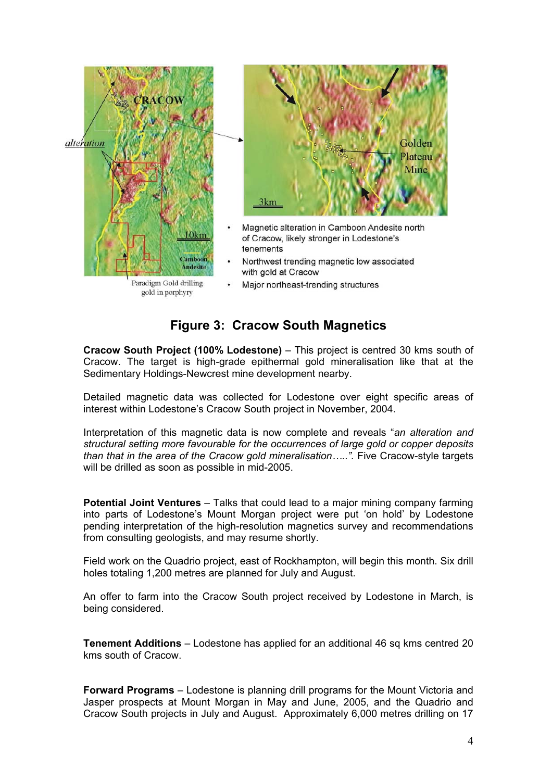

# **Figure 3: Cracow South Magnetics**

**Cracow South Project (100% Lodestone)** – This project is centred 30 kms south of Cracow. The target is high-grade epithermal gold mineralisation like that at the Sedimentary Holdings-Newcrest mine development nearby.

Detailed magnetic data was collected for Lodestone over eight specific areas of interest within Lodestone's Cracow South project in November, 2004.

Interpretation of this magnetic data is now complete and reveals "*an alteration and structural setting more favourable for the occurrences of large gold or copper deposits than that in the area of the Cracow gold mineralisation…..".* Five Cracow-style targets will be drilled as soon as possible in mid-2005.

**Potential Joint Ventures** – Talks that could lead to a major mining company farming into parts of Lodestone's Mount Morgan project were put 'on hold' by Lodestone pending interpretation of the high-resolution magnetics survey and recommendations from consulting geologists, and may resume shortly.

Field work on the Quadrio project, east of Rockhampton, will begin this month. Six drill holes totaling 1,200 metres are planned for July and August.

An offer to farm into the Cracow South project received by Lodestone in March, is being considered.

**Tenement Additions** – Lodestone has applied for an additional 46 sq kms centred 20 kms south of Cracow.

**Forward Programs** – Lodestone is planning drill programs for the Mount Victoria and Jasper prospects at Mount Morgan in May and June, 2005, and the Quadrio and Cracow South projects in July and August. Approximately 6,000 metres drilling on 17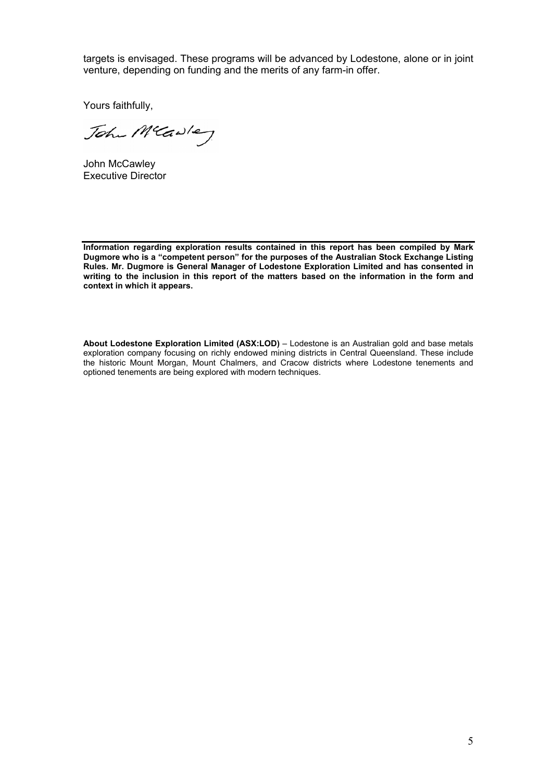targets is envisaged. These programs will be advanced by Lodestone, alone or in joint venture, depending on funding and the merits of any farm-in offer.

Yours faithfully,

John Mcawley

John McCawley Executive Director

**Information regarding exploration results contained in this report has been compiled by Mark Dugmore who is a "competent person" for the purposes of the Australian Stock Exchange Listing Rules. Mr. Dugmore is General Manager of Lodestone Exploration Limited and has consented in writing to the inclusion in this report of the matters based on the information in the form and context in which it appears.** 

**About Lodestone Exploration Limited (ASX:LOD)** – Lodestone is an Australian gold and base metals exploration company focusing on richly endowed mining districts in Central Queensland. These include the historic Mount Morgan, Mount Chalmers, and Cracow districts where Lodestone tenements and optioned tenements are being explored with modern techniques.